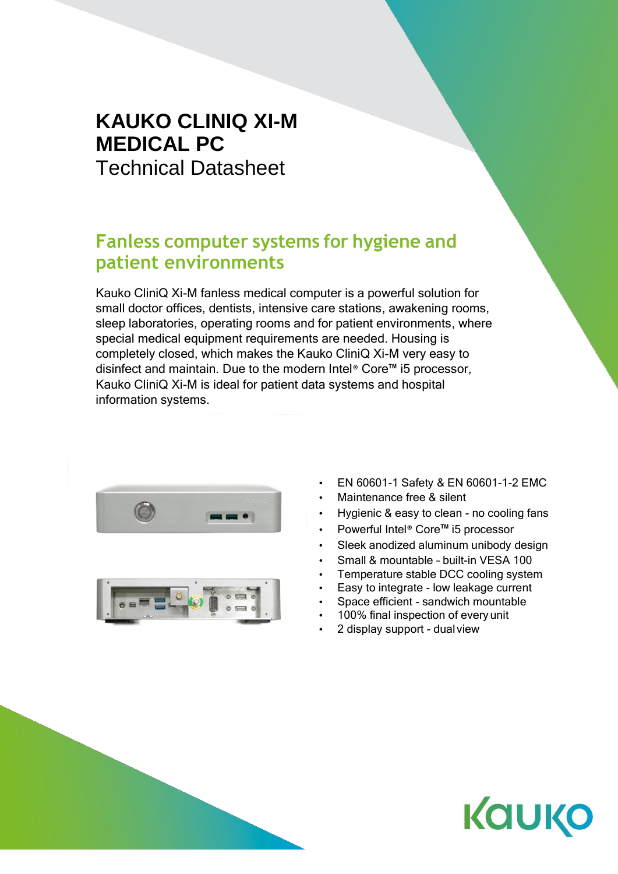## **KAUKO CLINIQ XI-M MEDICAL PC** Technical Datasheet

## **Fanless computer systems for hygiene and patient environments**

Kauko CliniQ Xi-M fanless medical computer is a powerful solution for small doctor offices, dentists, intensive care stations, awakening rooms, sleep laboratories, operating rooms and for patient environments, where special medical equipment requirements are needed. Housing is completely closed, which makes the Kauko CliniQ Xi-M very easy to disinfect and maintain. Due to the modern Intel® Core™ i5 processor, Kauko CliniQ Xi-M is ideal for patient data systems and hospital information systems.





- EN 60601-1 Safety & EN 60601-1-2 EMC
- Maintenance free & silent
- Hygienic & easy to clean no cooling fans
- Powerful Intel® Core™ i5 processor
- Sleek anodized aluminum unibody design
- Small & mountable built-in VESA 100
- Temperature stable DCC cooling system
- Easy to integrate low leakage current
- Space efficient sandwich mountable
- 100% final inspection of every unit
- 2 display support dualview